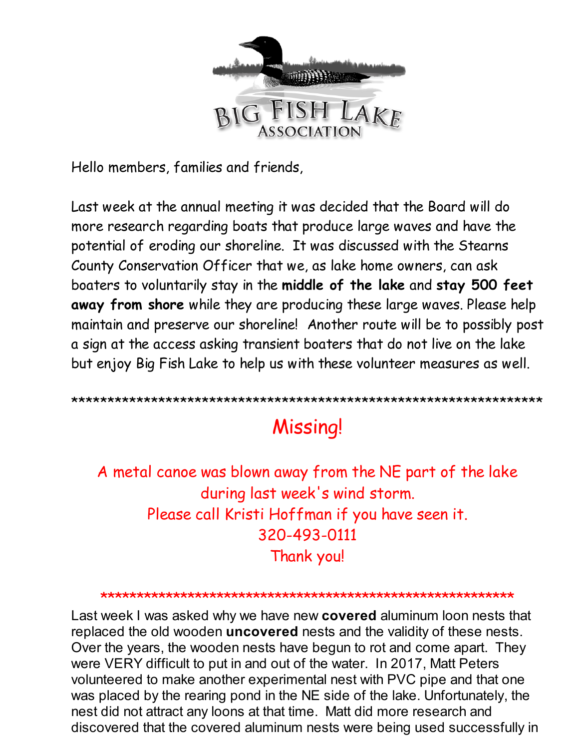

Hello members, families and friends,

Last week at the annual meeting it was decided that the Board will do more research regarding boats that produce large waves and have the potential of eroding our shoreline. It was discussed with the Stearns County Conservation Officer that we, as lake home owners, can ask boaters to voluntarily stay in the **middle of the lake** and **stay 500 feet away from shore** while they are producing these large waves. Please help maintain and preserve our shoreline! Another route will be to possibly post a sign at the access asking transient boaters that do not live on the lake but enjoy Big Fish Lake to help us with these volunteer measures as well.

\*\*\*\*\*\*\*\*\*\*\*\*\*\*\*\*\*\*\*\*\*\*\*\*\*\*\*\*\*\*\*\*\*\*\*\*\*\*\*\*\*\*\*\*\*\*\*\*\*\*\*\*\*\*\*\*\*\*\*\*\*\*\*\*\*

# Missing!

A metal canoe was blown away from the NE part of the lake during last week's wind storm. Please call Kristi Hoffman if you have seen it. 320-493-0111 Thank you!

### \*\*\*\*\*\*\*\*\*\*\*\*\*\*\*\*\*\*\*\*\*\*\*\*\*\*\*\*\*\*\*\*\*\*\*\*\*\*\*\*\*\*\*\*\*\*\*\*\*\*\*\*\*\*\*\*\*

Last week I was asked why we have new **covered** aluminum loon nests that replaced the old wooden **uncovered** nests and the validity of these nests. Over the years, the wooden nests have begun to rot and come apart. They were VERY difficult to put in and out of the water. In 2017, Matt Peters volunteered to make another experimental nest with PVC pipe and that one was placed by the rearing pond in the NE side of the lake. Unfortunately, the nest did not attract any loons at that time. Matt did more research and discovered that the covered aluminum nests were being used successfully in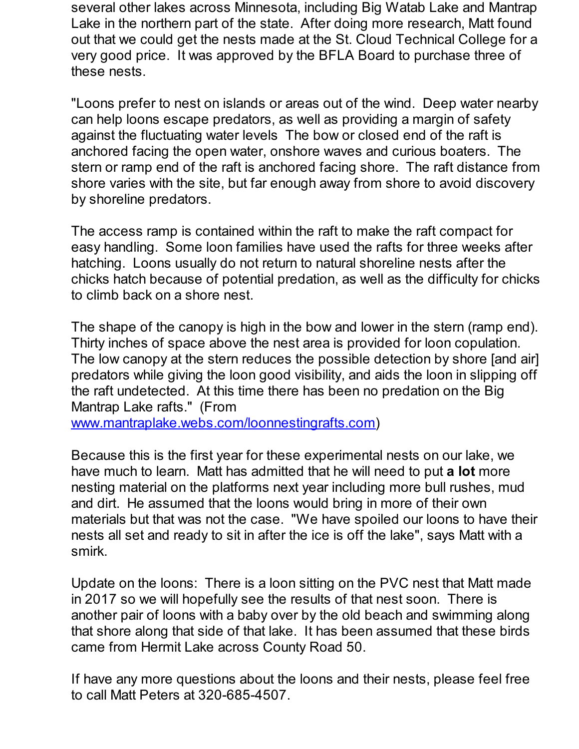several other lakes across Minnesota, including Big Watab Lake and Mantrap Lake in the northern part of the state. After doing more research, Matt found out that we could get the nests made at the St. Cloud Technical College for a very good price. It was approved by the BFLA Board to purchase three of these nests.

"Loons prefer to nest on islands or areas out of the wind. Deep water nearby can help loons escape predators, as well as providing a margin of safety against the fluctuating water levels The bow or closed end of the raft is anchored facing the open water, onshore waves and curious boaters. The stern or ramp end of the raft is anchored facing shore. The raft distance from shore varies with the site, but far enough away from shore to avoid discovery by shoreline predators.

The access ramp is contained within the raft to make the raft compact for easy handling. Some loon families have used the rafts for three weeks after hatching. Loons usually do not return to natural shoreline nests after the chicks hatch because of potential predation, as well as the difficulty for chicks to climb back on a shore nest.

The shape of the canopy is high in the bow and lower in the stern (ramp end). Thirty inches of space above the nest area is provided for loon copulation. The low canopy at the stern reduces the possible detection by shore [and air] predators while giving the loon good visibility, and aids the loon in slipping off the raft undetected. At this time there has been no predation on the Big Mantrap Lake rafts." (From

[www.mantraplake.webs.com/loonnestingrafts.com](http://r20.rs6.net/tn.jsp?f=0013Vvw8Aq_rY7oTeY4Vgx-GFSo_O_ebefdXYNNkfuL3nDUZsyZvTW0fSVfryNB-3HtpDftrGXl2tDUgMNNxZzKnt4gDW9LUPTbunjDwF753f3Jl3NqbaofsBm5qdYwRl6Px7NYDCanHgXzY7LmNNWGSNKZmxigUzlAbnui5zrHHOPrOsBxg3d6W4KxHXVe4ksQ24tzy3PzgmDbux7epW4c9Q==&c=&ch=))

Because this is the first year for these experimental nests on our lake, we have much to learn. Matt has admitted that he will need to put **a lot** more nesting material on the platforms next year including more bull rushes, mud and dirt. He assumed that the loons would bring in more of their own materials but that was not the case. "We have spoiled our loons to have their nests all set and ready to sit in after the ice is off the lake", says Matt with a smirk.

Update on the loons: There is a loon sitting on the PVC nest that Matt made in 2017 so we will hopefully see the results of that nest soon. There is another pair of loons with a baby over by the old beach and swimming along that shore along that side of that lake. It has been assumed that these birds came from Hermit Lake across County Road 50.

If have any more questions about the loons and their nests, please feel free to call Matt Peters at 320-685-4507.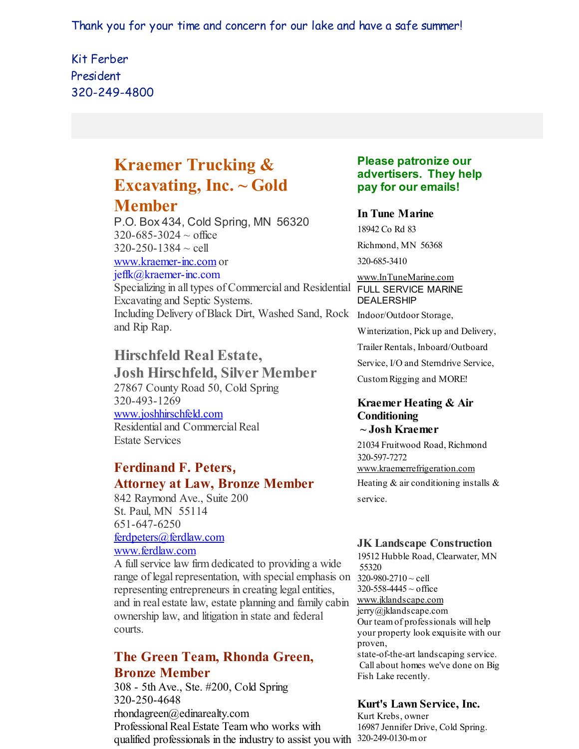Thank you for your time and concern for our lake and have a safe summer!

# Kit Ferber President 320-249-4800

# **Kraemer Trucking & Excavating, Inc. ~ Gold Member**

P.O. Box 434, Cold Spring, MN 56320  $320 - 685 - 3024 \sim$  office  $320 - 250 - 1384 \sim$  cell

[www.kraemer-inc.com](http://r20.rs6.net/tn.jsp?f=0013Vvw8Aq_rY7oTeY4Vgx-GFSo_O_ebefdXYNNkfuL3nDUZsyZvTW0ffQ-sqsQtyyw2JeljcsjrneU7RvFWl19fyMxnW47ChaSIP16MkL9EeZzs8LuE-ZVj86rOtO41a2vcNRhmZiNg15YpTZ1_qrDbJo7LPaPrg-R8QzIon6iDa4=&c=&ch=) or jeffk@kraemer-inc.com

Specializing in all types of Commercial and Residential FULL SERVICE MARINE Excavating and Septic Systems. Including Delivery of Black Dirt, Washed Sand, Rock Indoor/Outdoor Storage, and Rip Rap.

# **Hirschfeld Real Estate,**

**Josh Hirschfeld, Silver Member** 27867 County Road 50, Cold Spring 320-493-1269 [www.joshhirschfeld.com](http://r20.rs6.net/tn.jsp?f=0013Vvw8Aq_rY7oTeY4Vgx-GFSo_O_ebefdXYNNkfuL3nDUZsyZvTW0facZPPM-bFhtd2qsMGAoMsBJplUBI9Ajn_dQmcl3ntJXYY4RvCZYyFLZZTpzRsvOgzWhd6vm_YHCuXf21FNt3bv-O3v_bdIOtBUGQ4Yf2WBotEi233nqfiL5Tz5PY-lKnw==&c=&ch=) Residential and Commercial Real Estate Services

## **Ferdinand F. Peters, Attorney at Law, Bronze Member**

842 Raymond Ave., Suite 200 St. Paul, MN 55114 651-647-6250 [ferdpeters@ferdlaw.com](mailto:ferdpeters@ferdlaw.com) [www.ferdlaw.com](http://r20.rs6.net/tn.jsp?f=0013Vvw8Aq_rY7oTeY4Vgx-GFSo_O_ebefdXYNNkfuL3nDUZsyZvTW0fY0kfpSxM7E0_OTu45nu6eFC9TdqWq72eDDgcmGId_l89R3lCzUxHDGT0AqlRHmobvxMFPnKyRP_PQ7sGK535B2hIKmVrt6CIUoXXjcONA7scjE2LYWXh8U=&c=&ch=)

A fullservice law firm dedicated to providing a wide range of legal representation, with special emphasis on  $320-980-2710 \sim$  cell representing entrepreneurs in creating legal entities, and in real estate law, estate planning and family cabin [www.jklandscape.com](http://r20.rs6.net/tn.jsp?f=0013Vvw8Aq_rY7oTeY4Vgx-GFSo_O_ebefdXYNNkfuL3nDUZsyZvTW0faXL56QbOd1Sa2VG3SDsdEYbgYjeIp4kMsVKOK9oMtai7CYNHxqT21NrRi2KqyWM2LPX_0bDkC7Wrxlf_8wsUiFUgfSsQOuojqVOjfVgKl3KY-IodB5UESw=&c=&ch=) ownership law, and litigation in state and federal courts.

# **The Green Team, Rhonda Green, Bronze Member**

308 - 5th Ave., Ste. #200, Cold Spring 320-250-4648 rhondagreen@edinarealty.com Professional Real Estate Team who works with qualified professionals in the industry to assist you with 320-249-0130-mor

## **Please patronize our advertisers. They help pay for our emails!**

## **In Tune Marine**

18942 Co Rd 83 Richmond, MN 56368 320-685-3410

[www.InTuneMarine.com](http://r20.rs6.net/tn.jsp?f=0013Vvw8Aq_rY7oTeY4Vgx-GFSo_O_ebefdXYNNkfuL3nDUZsyZvTW0facZPPM-bFhtpfXg4oHUWBkXVmblCTVUNYNrS-PsMqszbns1q6Kw1Bcu4qeeCGrIBRFBAjT60hzOBXImVT627wdOJ5IS6DRU9nduD37RRMNrS_UOIdbOTWA=&c=&ch=)

DEALERSHIP

Winterization, Pick up and Delivery,

Trailer Rentals, Inboard/Outboard

Service, I/O and Sterndrive Service,

CustomRigging and MORE!

#### **Kraemer Heating & Air Conditioning ~ Josh Kraemer**

21034 Fruitwood Road, Richmond 320-597-7272 [www.kraemerrefrigeration.com](http://r20.rs6.net/tn.jsp?f=0013Vvw8Aq_rY7oTeY4Vgx-GFSo_O_ebefdXYNNkfuL3nDUZsyZvTW0facZPPM-bFhtgL9ubDIFEJM9m2R2P_QRugj5ggcLGOYgoddoCc8vt4MR8QdA1fycm8KH8d0XeKI9an4hIBAZklxms96kV4l4tiJaaW2mU3B3jv5zh_zIO9oST_rp2uHhPA==&c=&ch=) Heating  $&$  air conditioning installs  $&$ service.

## **JK Landscape Construction**

19512 Hubble Road, Clearwater, MN 55320  $320 - 558 - 4445 \sim$  office jerry@jklandscape.com Our teamof professionals will help your property look exquisite with our proven, state-of-the-art landscaping service. Call about homes we've done on Big Fish Lake recently.

## **Kurt's Lawn Service, Inc.**

Kurt Krebs, owner 16987 Jennifer Drive, Cold Spring.